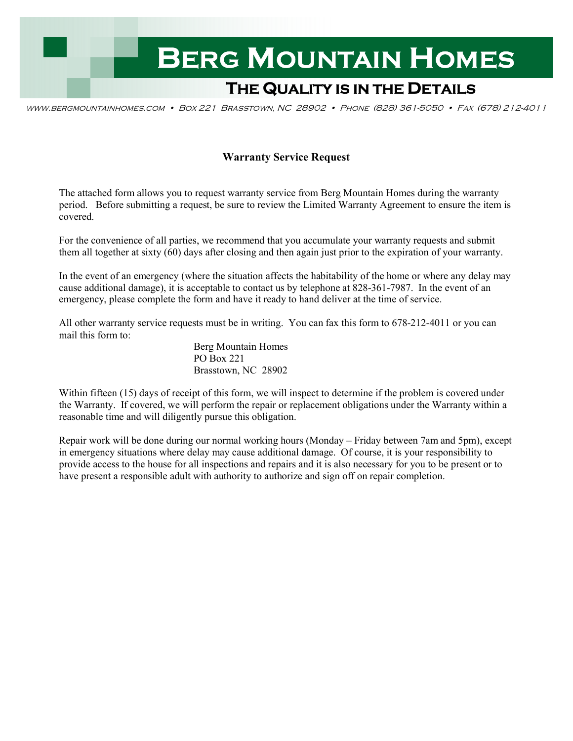

www.bergmountainhomes.com • Box 221 Brasstown, NC 28902 • Phone (828) 361-5050 • Fax (678) 212-4011

## **Warranty Service Request**

The attached form allows you to request warranty service from Berg Mountain Homes during the warranty period. Before submitting a request, be sure to review the Limited Warranty Agreement to ensure the item is covered.

For the convenience of all parties, we recommend that you accumulate your warranty requests and submit them all together at sixty (60) days after closing and then again just prior to the expiration of your warranty.

In the event of an emergency (where the situation affects the habitability of the home or where any delay may cause additional damage), it is acceptable to contact us by telephone at 828-361-7987. In the event of an emergency, please complete the form and have it ready to hand deliver at the time of service.

All other warranty service requests must be in writing. You can fax this form to 678-212-4011 or you can mail this form to:

> Berg Mountain Homes PO Box 221 Brasstown, NC 28902

Within fifteen (15) days of receipt of this form, we will inspect to determine if the problem is covered under the Warranty. If covered, we will perform the repair or replacement obligations under the Warranty within a reasonable time and will diligently pursue this obligation.

Repair work will be done during our normal working hours (Monday – Friday between 7am and 5pm), except in emergency situations where delay may cause additional damage. Of course, it is your responsibility to provide access to the house for all inspections and repairs and it is also necessary for you to be present or to have present a responsible adult with authority to authorize and sign off on repair completion.